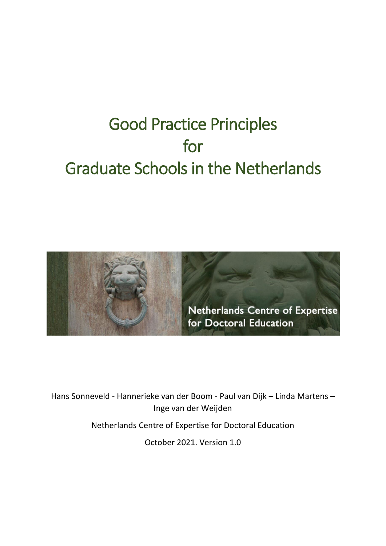# Good Practice Principles for Graduate Schools in the Netherlands



Hans Sonneveld - Hannerieke van der Boom - Paul van Dijk – Linda Martens – Inge van der Weijden

Netherlands Centre of Expertise for Doctoral Education

October 2021. Version 1.0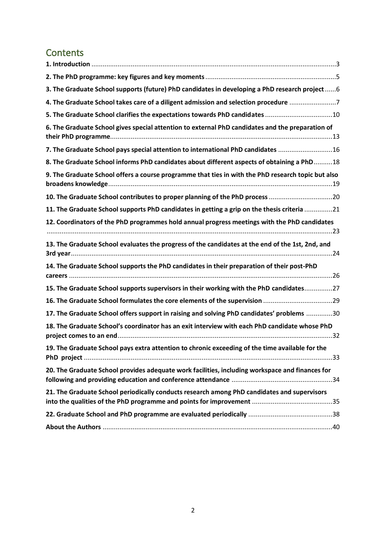# **Contents**

| 3. The Graduate School supports (future) PhD candidates in developing a PhD research project  6    |
|----------------------------------------------------------------------------------------------------|
| 4. The Graduate School takes care of a diligent admission and selection procedure 7                |
| 5. The Graduate School clarifies the expectations towards PhD candidates 10                        |
| 6. The Graduate School gives special attention to external PhD candidates and the preparation of   |
| 7. The Graduate School pays special attention to international PhD candidates 16                   |
| 8. The Graduate School informs PhD candidates about different aspects of obtaining a PhD18         |
| 9. The Graduate School offers a course programme that ties in with the PhD research topic but also |
|                                                                                                    |
| 11. The Graduate School supports PhD candidates in getting a grip on the thesis criteria 21        |
| 12. Coordinators of the PhD programmes hold annual progress meetings with the PhD candidates       |
| 13. The Graduate School evaluates the progress of the candidates at the end of the 1st, 2nd, and   |
| 14. The Graduate School supports the PhD candidates in their preparation of their post-PhD         |
| 15. The Graduate School supports supervisors in their working with the PhD candidates27            |
|                                                                                                    |
| 17. The Graduate School offers support in raising and solving PhD candidates' problems 30          |
| 18. The Graduate School's coordinator has an exit interview with each PhD candidate whose PhD      |
| 19. The Graduate School pays extra attention to chronic exceeding of the time available for the    |
| 20. The Graduate School provides adequate work facilities, including workspace and finances for    |
| 21. The Graduate School periodically conducts research among PhD candidates and supervisors        |
|                                                                                                    |
|                                                                                                    |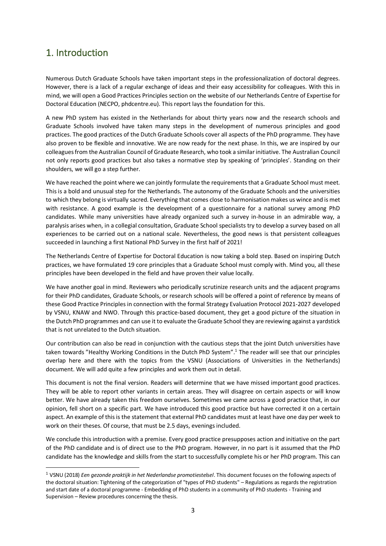# <span id="page-2-0"></span>1. Introduction

Numerous Dutch Graduate Schools have taken important steps in the professionalization of doctoral degrees. However, there is a lack of a regular exchange of ideas and their easy accessibility for colleagues. With this in mind, we will open a Good Practices Principles section on the website of our Netherlands Centre of Expertise for Doctoral Education (NECPO, phdcentre.eu). This report lays the foundation for this.

A new PhD system has existed in the Netherlands for about thirty years now and the research schools and Graduate Schools involved have taken many steps in the development of numerous principles and good practices. The good practices of the Dutch Graduate Schools cover all aspects of the PhD programme. They have also proven to be flexible and innovative. We are now ready for the next phase. In this, we are inspired by our colleagues from the Australian Council of Graduate Research, who took a similar initiative. The Australian Council not only reports good practices but also takes a normative step by speaking of 'principles'. Standing on their shoulders, we will go a step further.

We have reached the point where we can jointly formulate the requirements that a Graduate School must meet. This is a bold and unusual step for the Netherlands. The autonomy of the Graduate Schools and the universities to which they belong is virtually sacred. Everything that comes close to harmonisation makes us wince and is met with resistance. A good example is the development of a questionnaire for a national survey among PhD candidates. While many universities have already organized such a survey in-house in an admirable way, a paralysis arises when, in a collegial consultation, Graduate School specialists try to develop a survey based on all experiences to be carried out on a national scale. Nevertheless, the good news is that persistent colleagues succeeded in launching a first National PhD Survey in the first half of 2021!

The Netherlands Centre of Expertise for Doctoral Education is now taking a bold step. Based on inspiring Dutch practices, we have formulated 19 core principles that a Graduate School must comply with. Mind you, all these principles have been developed in the field and have proven their value locally.

We have another goal in mind. Reviewers who periodically scrutinize research units and the adjacent programs for their PhD candidates, Graduate Schools, or research schools will be offered a point of reference by means of these Good Practice Principles in connection with the formal Strategy Evaluation Protocol 2021-2027 developed by VSNU, KNAW and NWO. Through this practice-based document, they get a good picture of the situation in the Dutch PhD programmes and can use it to evaluate the Graduate School they are reviewing against a yardstick that is not unrelated to the Dutch situation.

Our contribution can also be read in conjunction with the cautious steps that the joint Dutch universities have taken towards "Healthy Working Conditions in the Dutch PhD System".<sup>1</sup> The reader will see that our principles overlap here and there with the topics from the VSNU (Associations of Universities in the Netherlands) document. We will add quite a few principles and work them out in detail.

This document is not the final version. Readers will determine that we have missed important good practices. They will be able to report other variants in certain areas. They will disagree on certain aspects or will know better. We have already taken this freedom ourselves. Sometimes we came across a good practice that, in our opinion, fell short on a specific part. We have introduced this good practice but have corrected it on a certain aspect. An example of this is the statement that external PhD candidates must at least have one day per week to work on their theses. Of course, that must be 2.5 days, evenings included.

We conclude this introduction with a premise. Every good practice presupposes action and initiative on the part of the PhD candidate and is of direct use to the PhD program. However, in no part is it assumed that the PhD candidate has the knowledge and skills from the start to successfully complete his or her PhD program. This can

<sup>1</sup> VSNU (2018) *Een gezonde praktijk in het Nederlandse promotiestelsel*. This document focuses on the following aspects of the doctoral situation: Tightening of the categorization of "types of PhD students" – Regulations as regards the registration and start date of a doctoral programme - Embedding of PhD students in a community of PhD students - Training and Supervision – Review procedures concerning the thesis.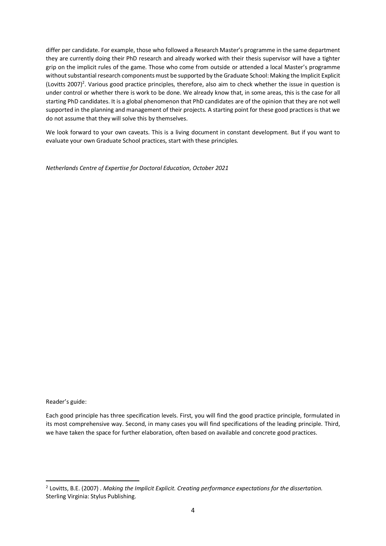differ per candidate. For example, those who followed a Research Master's programme in the same department they are currently doing their PhD research and already worked with their thesis supervisor will have a tighter grip on the implicit rules of the game. Those who come from outside or attended a local Master's programme without substantial research components must be supported by the Graduate School: Making the Implicit Explicit (Lovitts 2007)<sup>2</sup>. Various good practice principles, therefore, also aim to check whether the issue in question is under control or whether there is work to be done. We already know that, in some areas, this is the case for all starting PhD candidates. It is a global phenomenon that PhD candidates are of the opinion that they are not well supported in the planning and management of their projects. A starting point for these good practices is that we do not assume that they will solve this by themselves.

We look forward to your own caveats. This is a living document in constant development. But if you want to evaluate your own Graduate School practices, start with these principles.

*Netherlands Centre of Expertise for Doctoral Education, October 2021*

Reader's guide:

Each good principle has three specification levels. First, you will find the good practice principle, formulated in its most comprehensive way. Second, in many cases you will find specifications of the leading principle. Third, we have taken the space for further elaboration, often based on available and concrete good practices.

<sup>2</sup> Lovitts, B.E. (2007) . *Making the Implicit Explicit. Creating performance expectations for the dissertation.*  Sterling Virginia: Stylus Publishing.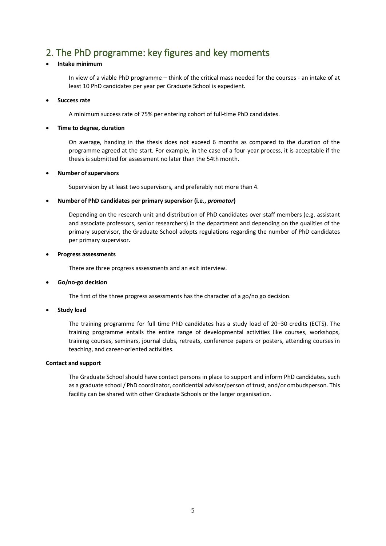# <span id="page-4-0"></span>2. The PhD programme: key figures and key moments

# • **Intake minimum**

In view of a viable PhD programme – think of the critical mass needed for the courses - an intake of at least 10 PhD candidates per year per Graduate School is expedient.

#### • **Success rate**

A minimum success rate of 75% per entering cohort of full-time PhD candidates.

#### • **Time to degree, duration**

On average, handing in the thesis does not exceed 6 months as compared to the duration of the programme agreed at the start. For example, in the case of a four-year process, it is acceptable if the thesis is submitted for assessment no later than the 54th month.

#### • **Number of supervisors**

Supervision by at least two supervisors, and preferably not more than 4.

#### • **Number of PhD candidates per primary supervisor (i.e.,** *promotor***)**

Depending on the research unit and distribution of PhD candidates over staff members (e.g. assistant and associate professors, senior researchers) in the department and depending on the qualities of the primary supervisor, the Graduate School adopts regulations regarding the number of PhD candidates per primary supervisor.

#### • **Progress assessments**

There are three progress assessments and an exit interview.

#### • **Go/no-go decision**

The first of the three progress assessments has the character of a go/no go decision.

#### • **Study load**

The training programme for full time PhD candidates has a study load of 20–30 credits (ECTS). The training programme entails the entire range of developmental activities like courses, workshops, training courses, seminars, journal clubs, retreats, conference papers or posters, attending courses in teaching, and career-oriented activities.

#### **Contact and support**

The Graduate School should have contact persons in place to support and inform PhD candidates, such as a graduate school / PhD coordinator, confidential advisor/person of trust, and/or ombudsperson. This facility can be shared with other Graduate Schools or the larger organisation.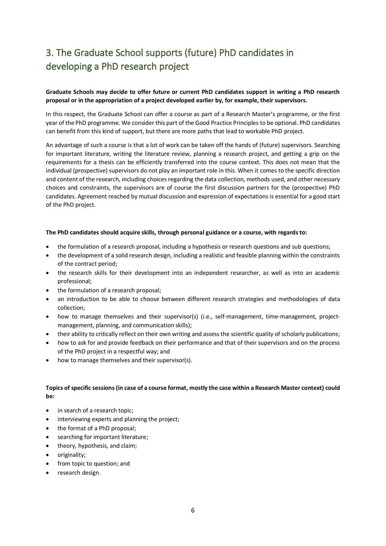# <span id="page-5-0"></span>3. The Graduate School supports (future) PhD candidates in developing a PhD research project

# **Graduate Schools may decide to offer future or current PhD candidates support in writing a PhD research proposal or in the appropriation of a project developed earlier by, for example, their supervisors.**

In this respect, the Graduate School can offer a course as part of a Research Master's programme, or the first year of the PhD programme. We consider this part of the Good Practice Principles to be optional. PhD candidates can benefit from this kind of support, but there are more paths that lead to workable PhD project.

An advantage of such a course is that a lot of work can be taken off the hands of (future) supervisors. Searching for important literature, writing the literature review, planning a research project, and getting a grip on the requirements for a thesis can be efficiently transferred into the course context. This does not mean that the individual (prospective) supervisors do not play an important role in this. When it comes to the specific direction and content of the research, including choices regarding the data collection, methods used, and other necessary choices and constraints, the supervisors are of course the first discussion partners for the (prospective) PhD candidates. Agreement reached by mutual discussion and expression of expectations is essential for a good start of the PhD project.

#### **The PhD candidates should acquire skills, through personal guidance or a course, with regards to:**

- the formulation of a research proposal, including a hypothesis or research questions and sub questions;
- the development of a solid research design, including a realistic and feasible planning within the constraints of the contract period;
- the research skills for their development into an independent researcher, as well as into an academic professional;
- the formulation of a research proposal;
- an introduction to be able to choose between different research strategies and methodologies of data collection;
- how to manage themselves and their supervisor(s) (i.e., self-management, time-management, projectmanagement, planning, and communication skills);
- their ability to critically reflect on their own writing and assess the scientific quality of scholarly publications;
- how to ask for and provide feedback on their performance and that of their supervisors and on the process of the PhD project in a respectful way; and
- how to manage themselves and their supervisor(s).

### **Topics of specific sessions (in case of a course format, mostly the case within a Research Master context) could be:**

- in search of a research topic;
- interviewing experts and planning the project;
- the format of a PhD proposal;
- searching for important literature;
- theory, hypothesis, and claim;
- originality;
- from topic to question; and
- research design.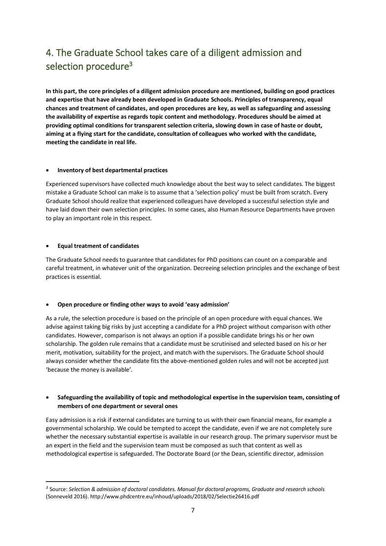# <span id="page-6-0"></span>4. The Graduate School takes care of a diligent admission and selection procedure<sup>3</sup>

**In this part, the core principles of a diligent admission procedure are mentioned, building on good practices and expertise that have already been developed in Graduate Schools. Principles of transparency, equal chances and treatment of candidates, and open procedures are key, as well as safeguarding and assessing the availability of expertise as regards topic content and methodology. Procedures should be aimed at providing optimal conditions for transparent selection criteria, slowing down in case of haste or doubt, aiming at a flying start for the candidate, consultation of colleagues who worked with the candidate, meeting the candidate in real life.**

#### • **Inventory of best departmental practices**

Experienced supervisors have collected much knowledge about the best way to select candidates. The biggest mistake a Graduate School can make is to assume that a 'selection policy' must be built from scratch. Every Graduate School should realize that experienced colleagues have developed a successful selection style and have laid down their own selection principles. In some cases, also Human Resource Departments have proven to play an important role in this respect.

### • **Equal treatment of candidates**

The Graduate School needs to guarantee that candidates for PhD positions can count on a comparable and careful treatment, in whatever unit of the organization. Decreeing selection principles and the exchange of best practices is essential.

# • **Open procedure or finding other ways to avoid 'easy admission'**

As a rule, the selection procedure is based on the principle of an open procedure with equal chances. We advise against taking big risks by just accepting a candidate for a PhD project without comparison with other candidates. However, comparison is not always an option if a possible candidate brings his or her own scholarship. The golden rule remains that a candidate must be scrutinised and selected based on his or her merit, motivation, suitability for the project, and match with the supervisors. The Graduate School should always consider whether the candidate fits the above-mentioned golden rules and will not be accepted just 'because the money is available'*.*

# • **Safeguarding the availability of topic and methodological expertise in the supervision team, consisting of members of one department or several ones**

Easy admission is a risk if external candidates are turning to us with their own financial means, for example a governmental scholarship. We could be tempted to accept the candidate, even if we are not completely sure whether the necessary substantial expertise is available in our research group. The primary supervisor must be an expert in the field and the supervision team must be composed as such that content as well as methodological expertise is safeguarded. The Doctorate Board (or the Dean, scientific director, admission

*<sup>3</sup>* Source: *Selection & admission of doctoral candidates. Manual for doctoral programs, Graduate and research schools* (Sonneveld 2016). http://www.phdcentre.eu/inhoud/uploads/2018/02/Selectie26416.pdf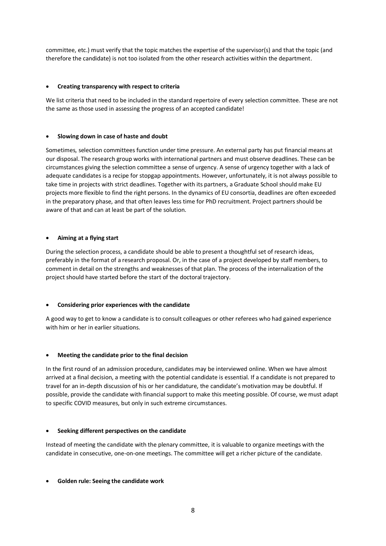committee, etc.) must verify that the topic matches the expertise of the supervisor(s) and that the topic (and therefore the candidate) is not too isolated from the other research activities within the department.

### • **Creating transparency with respect to criteria**

We list criteria that need to be included in the standard repertoire of every selection committee. These are not the same as those used in assessing the progress of an accepted candidate!

#### • **Slowing down in case of haste and doubt**

Sometimes, selection committees function under time pressure. An external party has put financial means at our disposal. The research group works with international partners and must observe deadlines. These can be circumstances giving the selection committee a sense of urgency. A sense of urgency together with a lack of adequate candidates is a recipe for stopgap appointments. However, unfortunately, it is not always possible to take time in projects with strict deadlines. Together with its partners, a Graduate School should make EU projects more flexible to find the right persons. In the dynamics of EU consortia, deadlines are often exceeded in the preparatory phase, and that often leaves less time for PhD recruitment. Project partners should be aware of that and can at least be part of the solution.

#### • **Aiming at a flying start**

During the selection process, a candidate should be able to present a thoughtful set of research ideas, preferably in the format of a research proposal. Or, in the case of a project developed by staff members, to comment in detail on the strengths and weaknesses of that plan. The process of the internalization of the project should have started before the start of the doctoral trajectory.

# • **Considering prior experiences with the candidate**

A good way to get to know a candidate is to consult colleagues or other referees who had gained experience with him or her in earlier situations.

# • **Meeting the candidate prior to the final decision**

In the first round of an admission procedure, candidates may be interviewed online. When we have almost arrived at a final decision, a meeting with the potential candidate is essential. If a candidate is not prepared to travel for an in-depth discussion of his or her candidature, the candidate's motivation may be doubtful. If possible, provide the candidate with financial support to make this meeting possible. Of course, we must adapt to specific COVID measures, but only in such extreme circumstances.

# • **Seeking different perspectives on the candidate**

Instead of meeting the candidate with the plenary committee, it is valuable to organize meetings with the candidate in consecutive, one-on-one meetings. The committee will get a richer picture of the candidate.

# • **Golden rule: Seeing the candidate work**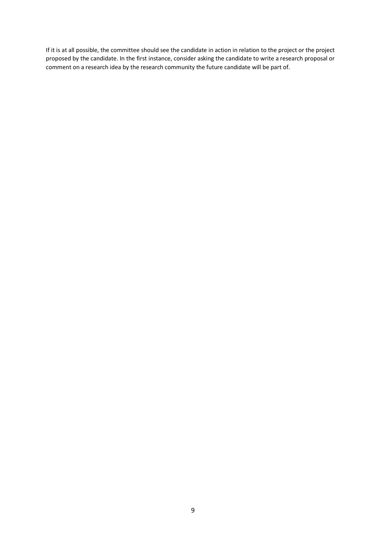If it is at all possible, the committee should see the candidate in action in relation to the project or the project proposed by the candidate. In the first instance, consider asking the candidate to write a research proposal or comment on a research idea by the research community the future candidate will be part of.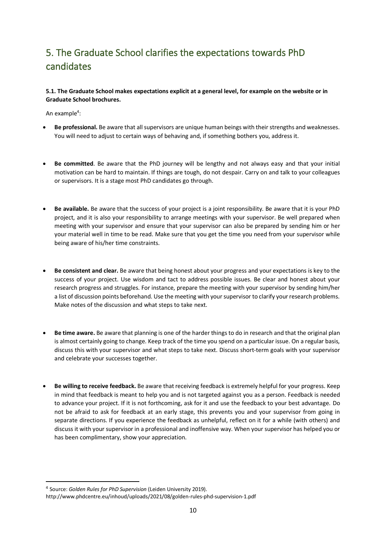# <span id="page-9-0"></span>5. The Graduate School clarifies the expectations towards PhD candidates

# **5.1. The Graduate School makes expectations explicit at a general level, for example on the website or in Graduate School brochures.**

An example<sup>4</sup>:

- **Be professional.** Be aware that all supervisors are unique human beings with their strengths and weaknesses. You will need to adjust to certain ways of behaving and, if something bothers you, address it.
- **Be committed**. Be aware that the PhD journey will be lengthy and not always easy and that your initial motivation can be hard to maintain. If things are tough, do not despair. Carry on and talk to your colleagues or supervisors. It is a stage most PhD candidates go through.
- **Be available.** Be aware that the success of your project is a joint responsibility. Be aware that it is your PhD project, and it is also your responsibility to arrange meetings with your supervisor. Be well prepared when meeting with your supervisor and ensure that your supervisor can also be prepared by sending him or her your material well in time to be read. Make sure that you get the time you need from your supervisor while being aware of his/her time constraints.
- **Be consistent and clear.** Be aware that being honest about your progress and your expectations is key to the success of your project. Use wisdom and tact to address possible issues. Be clear and honest about your research progress and struggles. For instance, prepare the meeting with your supervisor by sending him/her a list of discussion points beforehand. Use the meeting with your supervisor to clarify your research problems. Make notes of the discussion and what steps to take next.
- **Be time aware.** Be aware that planning is one of the harder things to do in research and that the original plan is almost certainly going to change. Keep track of the time you spend on a particular issue. On a regular basis, discuss this with your supervisor and what steps to take next. Discuss short-term goals with your supervisor and celebrate your successes together.
- **Be willing to receive feedback.** Be aware that receiving feedback is extremely helpful for your progress. Keep in mind that feedback is meant to help you and is not targeted against you as a person. Feedback is needed to advance your project. If it is not forthcoming, ask for it and use the feedback to your best advantage. Do not be afraid to ask for feedback at an early stage, this prevents you and your supervisor from going in separate directions. If you experience the feedback as unhelpful, reflect on it for a while (with others) and discuss it with your supervisor in a professional and inoffensive way. When your supervisor has helped you or has been complimentary, show your appreciation.

<sup>4</sup> Source: *Golden Rules for PhD Supervision* (Leiden University 2019).

http://www.phdcentre.eu/inhoud/uploads/2021/08/golden-rules-phd-supervision-1.pdf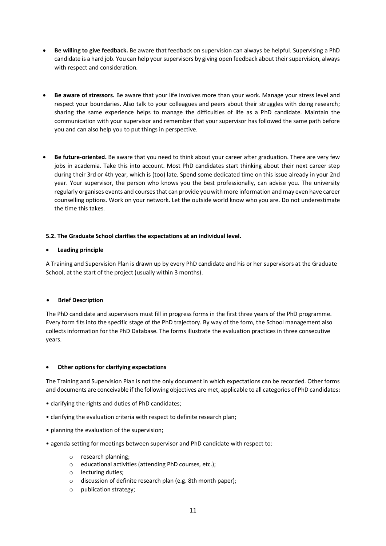- **Be willing to give feedback.** Be aware that feedback on supervision can always be helpful. Supervising a PhD candidate is a hard job. You can help your supervisors by giving open feedback about their supervision, always with respect and consideration.
- **Be aware of stressors.** Be aware that your life involves more than your work. Manage your stress level and respect your boundaries. Also talk to your colleagues and peers about their struggles with doing research; sharing the same experience helps to manage the difficulties of life as a PhD candidate. Maintain the communication with your supervisor and remember that your supervisor has followed the same path before you and can also help you to put things in perspective.
- **Be future-oriented.** Be aware that you need to think about your career after graduation. There are very few jobs in academia. Take this into account. Most PhD candidates start thinking about their next career step during their 3rd or 4th year, which is (too) late. Spend some dedicated time on this issue already in your 2nd year. Your supervisor, the person who knows you the best professionally, can advise you. The university regularly organises events and courses that can provide you with more information and may even have career counselling options. Work on your network. Let the outside world know who you are. Do not underestimate the time this takes.

### **5.2. The Graduate School clarifies the expectations at an individual level.**

### • **Leading principle**

A Training and Supervision Plan is drawn up by every PhD candidate and his or her supervisors at the Graduate School, at the start of the project (usually within 3 months).

# • **Brief Description**

The PhD candidate and supervisors must fill in progress forms in the first three years of the PhD programme. Every form fits into the specific stage of the PhD trajectory. By way of the form, the School management also collects information for the PhD Database. The forms illustrate the evaluation practices in three consecutive years.

#### • **Other options for clarifying expectations**

The Training and Supervision Plan is not the only document in which expectations can be recorded. Other forms and documents are conceivable if the following objectives are met, applicable to all categories of PhD candidates**:**

- clarifying the rights and duties of PhD candidates;
- clarifying the evaluation criteria with respect to definite research plan;
- planning the evaluation of the supervision;
- agenda setting for meetings between supervisor and PhD candidate with respect to:
	- o research planning;
	- o educational activities (attending PhD courses, etc.);
	- o lecturing duties;
	- o discussion of definite research plan (e.g. 8th month paper);
	- o publication strategy;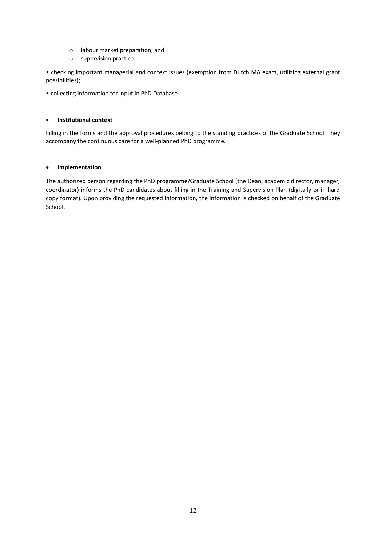- o labour market preparation; and
- o supervision practice.

• checking important managerial and context issues (exemption from Dutch MA exam, utilizing external grant possibilities);

• collecting information for input in PhD Database.

#### • **Institutional context**

Filling in the forms and the approval procedures belong to the standing practices of the Graduate School. They accompany the continuous care for a well-planned PhD programme.

#### • **Implementation**

The authorized person regarding the PhD programme/Graduate School (the Dean, academic director, manager, coordinator) informs the PhD candidates about filling in the Training and Supervision Plan (digitally or in hard copy format). Upon providing the requested information, the information is checked on behalf of the Graduate School.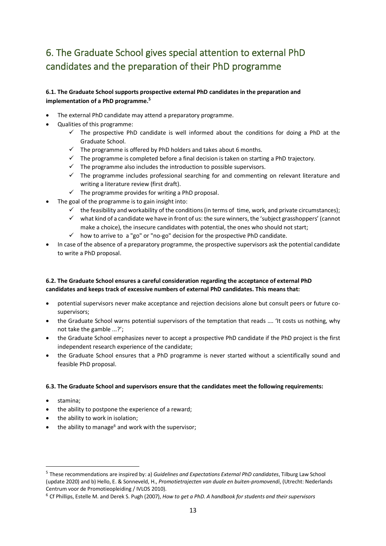# <span id="page-12-0"></span>6. The Graduate School gives special attention to external PhD candidates and the preparation of their PhD programme

# **6.1. The Graduate School supports prospective external PhD candidates in the preparation and implementation of a PhD programme. 5**

- The external PhD candidate may attend a preparatory programme.
- Qualities of this programme:
	- $\checkmark$  The prospective PhD candidate is well informed about the conditions for doing a PhD at the Graduate School.
	- $\checkmark$  The programme is offered by PhD holders and takes about 6 months.
	- $\checkmark$  The programme is completed before a final decision is taken on starting a PhD trajectory.
	- $\checkmark$  The programme also includes the introduction to possible supervisors.
	- $\checkmark$  The programme includes professional searching for and commenting on relevant literature and writing a literature review (first draft).
	- $\checkmark$  The programme provides for writing a PhD proposal.
- The goal of the programme is to gain insight into:
	- $\checkmark$  the feasibility and workability of the conditions (in terms of time, work, and private circumstances);
	- $\checkmark$  what kind of a candidate we have in front of us: the sure winners, the 'subject grasshoppers' (cannot make a choice), the insecure candidates with potential, the ones who should not start;
	- $\checkmark$  how to arrive to a "go" or "no-go" decision for the prospective PhD candidate.
- In case of the absence of a preparatory programme, the prospective supervisors ask the potential candidate to write a PhD proposal.

# **6.2. The Graduate School ensures a careful consideration regarding the acceptance of external PhD candidates and keeps track of excessive numbers of external PhD candidates. This means that:**

- potential supervisors never make acceptance and rejection decisions alone but consult peers or future cosupervisors;
- the Graduate School warns potential supervisors of the temptation that reads .... 'It costs us nothing, why not take the gamble ...?';
- the Graduate School emphasizes never to accept a prospective PhD candidate if the PhD project is the first independent research experience of the candidate;
- the Graduate School ensures that a PhD programme is never started without a scientifically sound and feasible PhD proposal.

# **6.3. The Graduate School and supervisors ensure that the candidates meet the following requirements:**

- stamina;
- the ability to postpone the experience of a reward;
- the ability to work in isolation;
- the ability to manage<sup>6</sup> and work with the supervisor;

<sup>5</sup> These recommendations are inspired by: a) *Guidelines and Expectations External PhD candidates*, Tilburg Law School (update 2020) and b) Hello, E. & Sonneveld, H., *Promotietrajecten van duale en buiten-promovendi*, (Utrecht: Nederlands Centrum voor de Promotieopleiding / IVLOS 2010).

<sup>6</sup> Cf Phillips, Estelle M. and Derek S. Pugh (2007), *How to get a PhD. A handbook for students and their supervisors*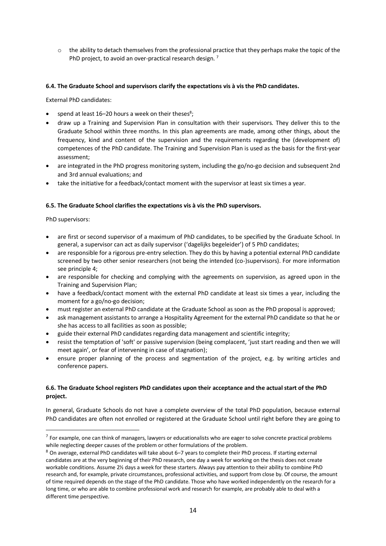$\circ$  the ability to detach themselves from the professional practice that they perhaps make the topic of the PhD project, to avoid an over-practical research design.<sup>7</sup>

### **6.4. The Graduate School and supervisors clarify the expectations vis à vis the PhD candidates.**

External PhD candidates:

- spend at least  $16-20$  hours a week on their theses<sup>8</sup>;
- draw up a Training and Supervision Plan in consultation with their supervisors. They deliver this to the Graduate School within three months. In this plan agreements are made, among other things, about the frequency, kind and content of the supervision and the requirements regarding the (development of) competences of the PhD candidate. The Training and Supervision Plan is used as the basis for the first-year assessment;
- are integrated in the PhD progress monitoring system, including the go/no-go decision and subsequent 2nd and 3rd annual evaluations; and
- take the initiative for a feedback/contact moment with the supervisor at least six times a year.

### **6.5. The Graduate School clarifies the expectations vis à vis the PhD supervisors.**

PhD supervisors:

- are first or second supervisor of a maximum of PhD candidates, to be specified by the Graduate School. In general, a supervisor can act as daily supervisor ('dagelijks begeleider') of 5 PhD candidates;
- are responsible for a rigorous pre-entry selection. They do this by having a potential external PhD candidate screened by two other senior researchers (not being the intended (co-)supervisors). For more information see principle 4;
- are responsible for checking and complying with the agreements on supervision, as agreed upon in the Training and Supervision Plan;
- have a feedback/contact moment with the external PhD candidate at least six times a year, including the moment for a go/no-go decision;
- must register an external PhD candidate at the Graduate School as soon as the PhD proposal is approved;
- ask management assistants to arrange a Hospitality Agreement for the external PhD candidate so that he or she has access to all facilities as soon as possible;
- guide their external PhD candidates regarding data management and scientific integrity;
- resist the temptation of 'soft' or passive supervision (being complacent, 'just start reading and then we will meet again', or fear of intervening in case of stagnation);
- ensure proper planning of the process and segmentation of the project, e.g. by writing articles and conference papers.

# **6.6. The Graduate School registers PhD candidates upon their acceptance and the actual start of the PhD project.**

In general, Graduate Schools do not have a complete overview of the total PhD population, because external PhD candidates are often not enrolled or registered at the Graduate School until right before they are going to

 $<sup>7</sup>$  For example, one can think of managers, lawyers or educationalists who are eager to solve concrete practical problems</sup> while neglecting deeper causes of the problem or other formulations of the problem.

<sup>8</sup> On average, external PhD candidates will take about 6–7 years to complete their PhD process. If starting external candidates are at the very beginning of their PhD research, one day a week for working on the thesis does not create workable conditions. Assume 2½ days a week for these starters. Always pay attention to their ability to combine PhD research and, for example, private circumstances, professional activities, and support from close by. Of course, the amount of time required depends on the stage of the PhD candidate. Those who have worked independently on the research for a long time, or who are able to combine professional work and research for example, are probably able to deal with a different time perspective.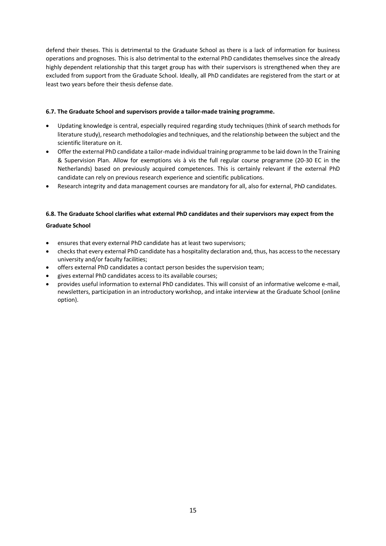defend their theses. This is detrimental to the Graduate School as there is a lack of information for business operations and prognoses. This is also detrimental to the external PhD candidates themselves since the already highly dependent relationship that this target group has with their supervisors is strengthened when they are excluded from support from the Graduate School. Ideally, all PhD candidates are registered from the start or at least two years before their thesis defense date.

# **6.7. The Graduate School and supervisors provide a tailor-made training programme.**

- Updating knowledge is central, especially required regarding study techniques (think of search methods for literature study), research methodologies and techniques, and the relationship between the subject and the scientific literature on it.
- Offer the external PhD candidate a tailor-made individual training programme to be laid down In the Training & Supervision Plan. Allow for exemptions vis à vis the full regular course programme (20-30 EC in the Netherlands) based on previously acquired competences. This is certainly relevant if the external PhD candidate can rely on previous research experience and scientific publications.
- Research integrity and data management courses are mandatory for all, also for external, PhD candidates.

# **6.8. The Graduate School clarifies what external PhD candidates and their supervisors may expect from the**

# **Graduate School**

- ensures that every external PhD candidate has at least two supervisors;
- checks that every external PhD candidate has a hospitality declaration and, thus, has access to the necessary university and/or faculty facilities;
- offers external PhD candidates a contact person besides the supervision team;
- gives external PhD candidates access to its available courses;
- provides useful information to external PhD candidates. This will consist of an informative welcome e-mail, newsletters, participation in an introductory workshop, and intake interview at the Graduate School (online option).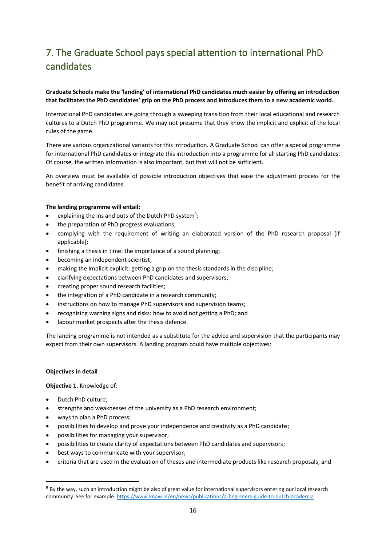# <span id="page-15-0"></span>7. The Graduate School pays special attention to international PhD candidates

# **Graduate Schools make the 'landing' of international PhD candidates much easier by offering an introduction that facilitates the PhD candidates' grip on the PhD process and introduces them to a new academic world.**

International PhD candidates are going through a sweeping transition from their local educational and research cultures to a Dutch PhD programme. We may not presume that they know the implicit and explicit of the local rules of the game.

There are various organizational variants for this introduction. A Graduate School can offer a special programme for international PhD candidates or integrate this introduction into a programme for all starting PhD candidates. Of course, the written information is also important, but that will not be sufficient.

An overview must be available of possible introduction objectives that ease the adjustment process for the benefit of arriving candidates.

#### **The landing programme will entail:**

- explaining the ins and outs of the Dutch PhD system<sup>9</sup>;
- the preparation of PhD progress evaluations;
- complying with the requirement of writing an elaborated version of the PhD research proposal (if applicable);
- finishing a thesis in time: the importance of a sound planning;
- becoming an independent scientist;
- making the implicit explicit: getting a grip on the thesis standards in the discipline;
- clarifying expectations between PhD candidates and supervisors;
- creating proper sound research facilities;
- the integration of a PhD candidate in a research community;
- instructions on how to manage PhD supervisors and supervision teams;
- recognizing warning signs and risks: how to avoid not getting a PhD; and
- labour market prospects after the thesis defence.

The landing programme is not intended as a substitute for the advice and supervision that the participants may expect from their own supervisors. A landing program could have multiple objectives:

#### **Objectives in detail**

**Objective 1.** Knowledge of:

- Dutch PhD culture;
- strengths and weaknesses of the university as a PhD research environment;
- ways to plan a PhD process;
- possibilities to develop and prove your independence and creativity as a PhD candidate;
- possibilities for managing your supervisor;
- possibilities to create clarity of expectations between PhD candidates and supervisors;
- best ways to communicate with your supervisor;
- criteria that are used in the evaluation of theses and intermediate products like research proposals; and

<sup>&</sup>lt;sup>9</sup> By the way, such an introduction might be also of great value for international supervisors entering our local research community. See for example[: https://www.knaw.nl/en/news/publications/a-beginners-guide-to-dutch-academia](about:blank)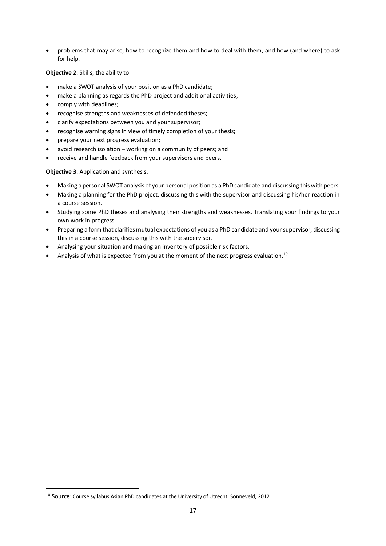• problems that may arise, how to recognize them and how to deal with them, and how (and where) to ask for help.

**Objective 2**. Skills, the ability to:

- make a SWOT analysis of your position as a PhD candidate;
- make a planning as regards the PhD project and additional activities;
- comply with deadlines;
- recognise strengths and weaknesses of defended theses;
- clarify expectations between you and your supervisor;
- recognise warning signs in view of timely completion of your thesis;
- prepare your next progress evaluation;
- avoid research isolation working on a community of peers; and
- receive and handle feedback from your supervisors and peers.

**Objective 3**. Application and synthesis.

- Making a personal SWOT analysis of your personal position as a PhD candidate and discussing this with peers.
- Making a planning for the PhD project, discussing this with the supervisor and discussing his/her reaction in a course session.
- Studying some PhD theses and analysing their strengths and weaknesses. Translating your findings to your own work in progress.
- Preparing a form that clarifies mutual expectations of you as a PhD candidate and your supervisor, discussing this in a course session, discussing this with the supervisor.
- Analysing your situation and making an inventory of possible risk factors.
- Analysis of what is expected from you at the moment of the next progress evaluation.<sup>10</sup>

<sup>&</sup>lt;sup>10</sup> Source: Course syllabus Asian PhD candidates at the University of Utrecht, Sonneveld, 2012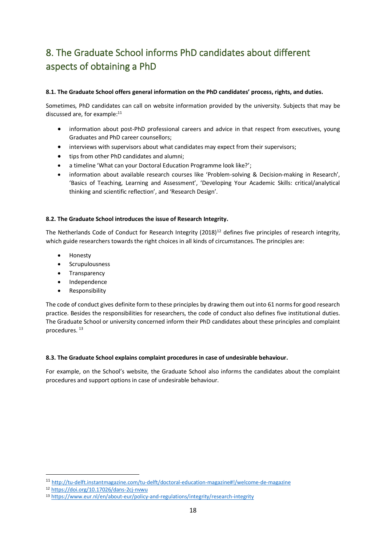# <span id="page-17-0"></span>8. The Graduate School informs PhD candidates about different aspects of obtaining a PhD

# **8.1. The Graduate School offers general information on the PhD candidates' process, rights, and duties.**

Sometimes, PhD candidates can call on website information provided by the university. Subjects that may be discussed are, for example: $11$ 

- information about post-PhD professional careers and advice in that respect from executives, young Graduates and PhD career counsellors;
- interviews with supervisors about what candidates may expect from their supervisors;
- tips from other PhD candidates and alumni;
- a timeline 'What can your Doctoral Education Programme look like?';
- information about available research courses like 'Problem-solving & Decision-making in Research', 'Basics of Teaching, Learning and Assessment', 'Developing Your Academic Skills: critical/analytical thinking and scientific reflection', and 'Research Design'.

# **8.2. The Graduate School introduces the issue of Research Integrity.**

The Netherlands Code of Conduct for Research Integrity  $(2018)^{12}$  defines five principles of research integrity, which guide researchers towards the right choices in all kinds of circumstances. The principles are:

- Honesty
- Scrupulousness
- Transparency
- Independence
- **Responsibility**

The code of conduct gives definite form to these principles by drawing them out into 61 norms for good research practice. Besides the responsibilities for researchers, the code of conduct also defines five institutional duties. The Graduate School or university concerned inform their PhD candidates about these principles and complaint procedures. <sup>13</sup>

# **8.3. The Graduate School explains complaint procedures in case of undesirable behaviour.**

For example, on the School's website, the Graduate School also informs the candidates about the complaint procedures and support options in case of undesirable behaviour.

<sup>11</sup> <http://tu-delft.instantmagazine.com/tu-delft/doctoral-education-magazine#!/welcome-de-magazine>

<sup>12</sup> <https://doi.org/10.17026/dans-2cj-nvwu>

<sup>13</sup> [https://www.eur.nl/en/about-eur/policy-and-regulations/integrity/research-integrity](about:blank)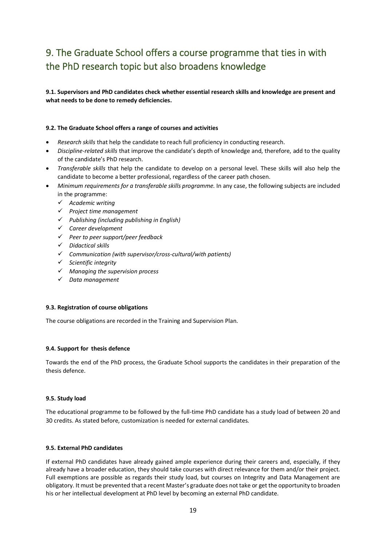# <span id="page-18-0"></span>9. The Graduate School offers a course programme that ties in with the PhD research topic but also broadens knowledge

**9.1. Supervisors and PhD candidates check whether essential research skills and knowledge are present and what needs to be done to remedy deficiencies.**

### **9.2. The Graduate School offers a range of courses and activities**

- *Research skills* that help the candidate to reach full proficiency in conducting research.
- *Discipline-related skills* that improve the candidate's depth of knowledge and, therefore, add to the quality of the candidate's PhD research.
- *Transferable skills* that help the candidate to develop on a personal level. These skills will also help the candidate to become a better professional, regardless of the career path chosen.
- *Minimum requirements for a transferable skills programme.* In any case, the following subjects are included in the programme:
	- ✓ *Academic writing*
	- ✓ *Project time management*
	- ✓ *Publishing (including publishing in English)*
	- ✓ *Career development*
	- ✓ *Peer to peer support/peer feedback*
	- ✓ *Didactical skills*
	- ✓ *Communication (with supervisor/cross-cultural/with patients)*
	- ✓ *Scientific integrity*
	- ✓ *Managing the supervision process*
	- ✓ *Data management*

#### **9.3. Registration of course obligations**

The course obligations are recorded in the Training and Supervision Plan.

#### **9.4. Support for thesis defence**

Towards the end of the PhD process, the Graduate School supports the candidates in their preparation of the thesis defence.

#### **9.5. Study load**

The educational programme to be followed by the full-time PhD candidate has a study load of between 20 and 30 credits. As stated before, customization is needed for external candidates.

#### **9.5. External PhD candidates**

If external PhD candidates have already gained ample experience during their careers and, especially, if they already have a broader education, they should take courses with direct relevance for them and/or their project. Full exemptions are possible as regards their study load, but courses on Integrity and Data Management are obligatory. It must be prevented that a recent Master's graduate does not take or get the opportunity to broaden his or her intellectual development at PhD level by becoming an external PhD candidate.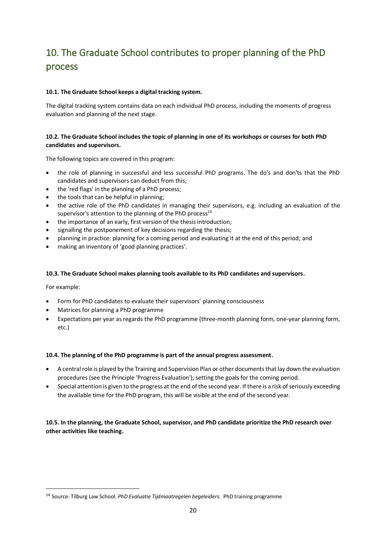# <span id="page-19-0"></span>10. The Graduate School contributes to proper planning of the PhD process

# **10.1. The Graduate School keeps a digital tracking system.**

The digital tracking system contains data on each individual PhD process, including the moments of progress evaluation and planning of the next stage.

# **10.2. The Graduate School includes the topic of planning in one of its workshops or courses for both PhD candidates and supervisors.**

The following topics are covered in this program:

- the role of planning in successful and less successful PhD programs. The do's and don'ts that the PhD candidates and supervisors can deduct from this;
- the 'red flags' in the planning of a PhD process;
- the tools that can be helpful in planning;
- the active role of the PhD candidates in managing their supervisors, e.g. including an evaluation of the supervisor's attention to the planning of the PhD process $^{14}$
- the importance of an early, first version of the thesis introduction;
- signalling the postponement of key decisions regarding the thesis;
- planning in practice: planning for a coming period and evaluating it at the end of this period; and
- making an inventory of 'good planning practices'.

# **10.3. The Graduate School makes planning tools available to its PhD candidates and supervisors.**

For example:

- Form for PhD candidates to evaluate their supervisors' planning consciousness
- Matrices for planning a PhD programme
- Expectations per year as regards the PhD programme (three-month planning form, one-year planning form, etc.)

# **10.4. The planning of the PhD programme is part of the annual progress assessment.**

- A central role is played by the Training and Supervision Plan or other documents that lay down the evaluation procedures (see the Principle 'Progress Evaluation'), setting the goals for the coming period.
- Special attention is given to the progress at the end of the second year. If there is a risk of seriously exceeding the available time for the PhD program, this will be visible at the end of the second year.

# **10.5. In the planning, the Graduate School, supervisor, and PhD candidate prioritize the PhD research over other activities like teaching.**

<sup>14</sup> Source: Tilburg Law School. *PhD Evaluatie Tijdmaatregelen begeleiders.* PhD training programme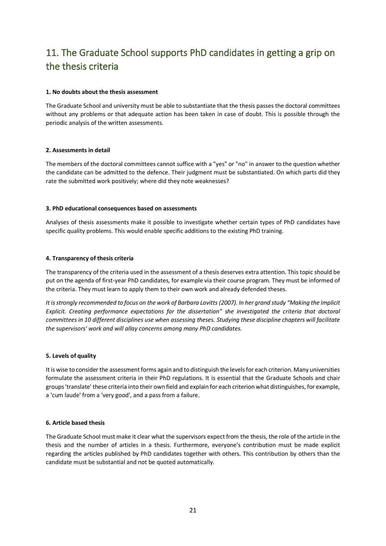# <span id="page-20-0"></span>11. The Graduate School supports PhD candidates in getting a grip on the thesis criteria

#### **1. No doubts about the thesis assessment**

The Graduate School and university must be able to substantiate that the thesis passes the doctoral committees without any problems or that adequate action has been taken in case of doubt. This is possible through the periodic analysis of the written assessments.

### **2. Assessments in detail**

The members of the doctoral committees cannot suffice with a "yes" or "no" in answer to the question whether the candidate can be admitted to the defence. Their judgment must be substantiated. On which parts did they rate the submitted work positively; where did they note weaknesses?

### **3. PhD educational consequences based on assessments**

Analyses of thesis assessments make it possible to investigate whether certain types of PhD candidates have specific quality problems. This would enable specific additions to the existing PhD training.

### **4. Transparency of thesis criteria**

The transparency of the criteria used in the assessment of a thesis deserves extra attention. This topic should be put on the agenda of first-year PhD candidates, for example via their course program. They must be informed of the criteria. They must learn to apply them to their own work and already defended theses.

*It is strongly recommended to focus on the work of Barbara Lovitts (2007). In her grand study "Making the Implicit Explicit. Creating performance expectations for the dissertation" she investigated the criteria that doctoral*  committees in 10 different disciplines use when assessing theses. Studying these discipline chapters will facilitate *the supervisors' work and will allay concerns among many PhD candidates.*

#### **5. Levels of quality**

It is wise to consider the assessment forms again and to distinguish the levels for each criterion. Many universities formulate the assessment criteria in their PhD regulations. It is essential that the Graduate Schools and chair groups 'translate' these criteria into their own field and explain for each criterion what distinguishes, for example, a 'cum laude' from a 'very good', and a pass from a failure.

#### **6. Article based thesis**

The Graduate School must make it clear what the supervisors expect from the thesis, the role of the article in the thesis and the number of articles in a thesis. Furthermore, everyone's contribution must be made explicit regarding the articles published by PhD candidates together with others. This contribution by others than the candidate must be substantial and not be quoted automatically.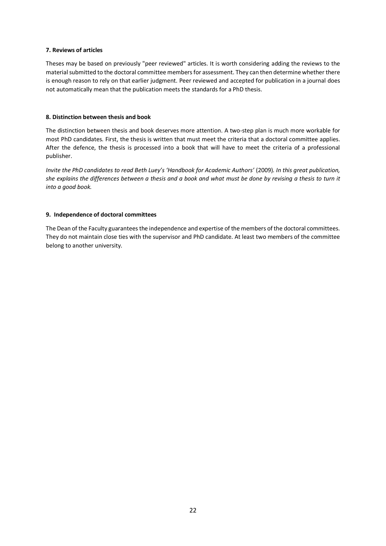#### **7. Reviews of articles**

Theses may be based on previously "peer reviewed" articles. It is worth considering adding the reviews to the material submitted to the doctoral committee members for assessment. They can then determine whether there is enough reason to rely on that earlier judgment. Peer reviewed and accepted for publication in a journal does not automatically mean that the publication meets the standards for a PhD thesis.

#### **8. Distinction between thesis and book**

The distinction between thesis and book deserves more attention. A two-step plan is much more workable for most PhD candidates. First, the thesis is written that must meet the criteria that a doctoral committee applies. After the defence, the thesis is processed into a book that will have to meet the criteria of a professional publisher.

*Invite the PhD candidates to read Beth Luey's 'Handbook for Academic Authors'* (2009)*. In this great publication, she explains the differences between a thesis and a book and what must be done by revising a thesis to turn it into a good book.*

#### **9. Independence of doctoral committees**

The Dean of the Faculty guarantees the independence and expertise of the members of the doctoral committees. They do not maintain close ties with the supervisor and PhD candidate. At least two members of the committee belong to another university.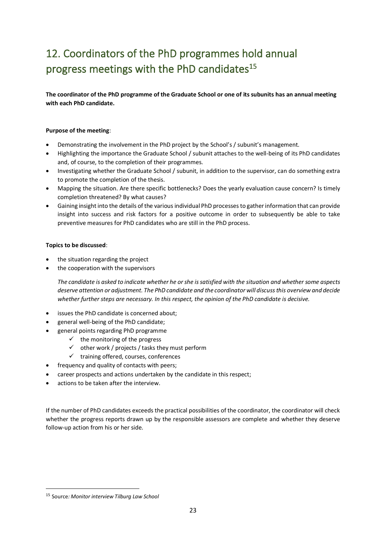# <span id="page-22-0"></span>12. Coordinators of the PhD programmes hold annual progress meetings with the PhD candidates<sup>15</sup>

**The coordinator of the PhD programme of the Graduate School or one of its subunits has an annual meeting with each PhD candidate.** 

### **Purpose of the meeting**:

- Demonstrating the involvement in the PhD project by the School's / subunit's management.
- Highlighting the importance the Graduate School / subunit attaches to the well-being of its PhD candidates and, of course, to the completion of their programmes.
- Investigating whether the Graduate School / subunit, in addition to the supervisor, can do something extra to promote the completion of the thesis.
- Mapping the situation. Are there specific bottlenecks? Does the yearly evaluation cause concern? Is timely completion threatened? By what causes?
- Gaining insight into the details of the various individual PhD processes to gather information that can provide insight into success and risk factors for a positive outcome in order to subsequently be able to take preventive measures for PhD candidates who are still in the PhD process.

### **Topics to be discussed**:

- the situation regarding the project
- the cooperation with the supervisors

*The candidate is asked to indicate whether he or she is satisfied with the situation and whether some aspects deserve attention or adjustment. The PhD candidate and the coordinator will discuss this overview and decide whether further steps are necessary. In this respect, the opinion of the PhD candidate is decisive.*

- issues the PhD candidate is concerned about;
- general well-being of the PhD candidate;
- general points regarding PhD programme
	- $\checkmark$  the monitoring of the progress
	- $\checkmark$  other work / projects / tasks they must perform
	- ✓ training offered, courses, conferences
- frequency and quality of contacts with peers;
- career prospects and actions undertaken by the candidate in this respect;
- actions to be taken after the interview.

If the number of PhD candidates exceeds the practical possibilities of the coordinator, the coordinator will check whether the progress reports drawn up by the responsible assessors are complete and whether they deserve follow-up action from his or her side.

<sup>15</sup> Source*: Monitor interview Tilburg Law School*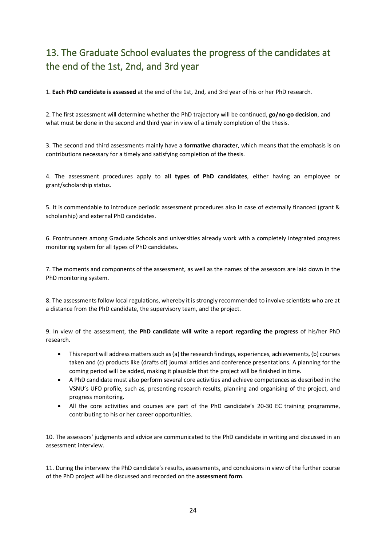# <span id="page-23-0"></span>13. The Graduate School evaluates the progress of the candidates at the end of the 1st, 2nd, and 3rd year

1. **Each PhD candidate is assessed** at the end of the 1st, 2nd, and 3rd year of his or her PhD research.

2. The first assessment will determine whether the PhD trajectory will be continued, **go/no-go decision**, and what must be done in the second and third year in view of a timely completion of the thesis.

3. The second and third assessments mainly have a **formative character**, which means that the emphasis is on contributions necessary for a timely and satisfying completion of the thesis.

4. The assessment procedures apply to **all types of PhD candidates**, either having an employee or grant/scholarship status.

5. It is commendable to introduce periodic assessment procedures also in case of externally financed (grant & scholarship) and external PhD candidates.

6. Frontrunners among Graduate Schools and universities already work with a completely integrated progress monitoring system for all types of PhD candidates.

7. The moments and components of the assessment, as well as the names of the assessors are laid down in the PhD monitoring system.

8. The assessments follow local regulations, whereby it is strongly recommended to involve scientists who are at a distance from the PhD candidate, the supervisory team, and the project.

9. In view of the assessment, the **PhD candidate will write a report regarding the progress** of his/her PhD research.

- This report will address matters such as (a) the research findings, experiences, achievements, (b) courses taken and (c) products like (drafts of) journal articles and conference presentations. A planning for the coming period will be added, making it plausible that the project will be finished in time.
- A PhD candidate must also perform several core activities and achieve competences as described in the VSNU's UFO profile, such as, presenting research results, planning and organising of the project, and progress monitoring.
- All the core activities and courses are part of the PhD candidate's 20-30 EC training programme, contributing to his or her career opportunities.

10. The assessors' judgments and advice are communicated to the PhD candidate in writing and discussed in an assessment interview.

11. During the interview the PhD candidate's results, assessments, and conclusions in view of the further course of the PhD project will be discussed and recorded on the **assessment form**.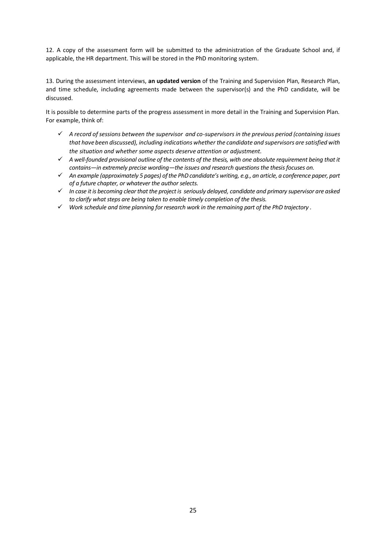12. A copy of the assessment form will be submitted to the administration of the Graduate School and, if applicable, the HR department. This will be stored in the PhD monitoring system.

13. During the assessment interviews, **an updated version** of the Training and Supervision Plan, Research Plan, and time schedule, including agreements made between the supervisor(s) and the PhD candidate, will be discussed.

It is possible to determine parts of the progress assessment in more detail in the Training and Supervision Plan. For example, think of:

- ✓ *A record of sessions between the supervisor and co-supervisors in the previous period (containing issues that have been discussed), including indications whether the candidate and supervisors are satisfied with the situation and whether some aspects deserve attention or adjustment.*
- ✓ *A well-founded provisional outline of the contents of the thesis, with one absolute requirement being that it contains—in extremely precise wording—the issues and research questions the thesisfocuses on.*
- ✓ *An example (approximately 5 pages) of the PhD candidate's writing, e.g., an article, a conference paper, part of a future chapter, or whatever the author selects.*
- ✓ *In case it is becoming clear that the project is seriously delayed, candidate and primary supervisor are asked to clarify what steps are being taken to enable timely completion of the thesis.*
- ✓ *Work schedule and time planning for research work in the remaining part of the PhD trajectory .*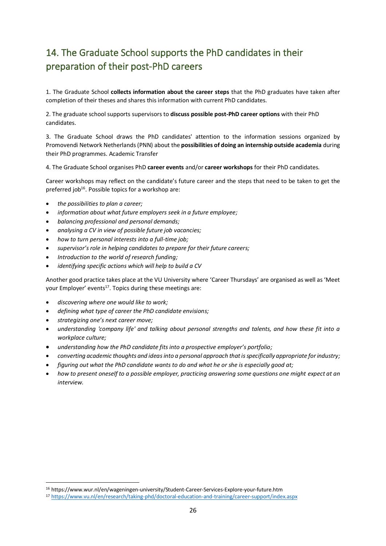# <span id="page-25-0"></span>14. The Graduate School supports the PhD candidates in their preparation of their post-PhD careers

1. The Graduate School **collects information about the career steps** that the PhD graduates have taken after completion of their theses and shares this information with current PhD candidates.

2. The graduate school supports supervisors to **discuss possible post-PhD career options** with their PhD candidates.

3. The Graduate School draws the PhD candidates' attention to the information sessions organized by Promovendi Network Netherlands (PNN) about the **possibilities of doing an internship outside academia** during their PhD programmes. Academic Transfer

4. The Graduate School organises PhD **career events** and/or **career workshops** for their PhD candidates.

Career workshops may reflect on the candidate's future career and the steps that need to be taken to get the preferred job<sup>16</sup>. Possible topics for a workshop are:

- *the possibilities to plan a career;*
- *information about what future employers seek in a future employee;*
- *balancing professional and personal demands;*
- *analysing a CV in view of possible future job vacancies;*
- *how to turn personal interests into a full-time job;*
- *supervisor's role in helping candidates to prepare for their future careers;*
- *Introduction to the world of research funding;*
- *identifying specific actions which will help to build a CV*

Another good practice takes place at the VU University where 'Career Thursdays' are organised as well as 'Meet your Employer' events<sup>17</sup>. Topics during these meetings are:

- *discovering where one would like to work;*
- *defining what type of career the PhD candidate envisions;*
- *strategizing one's next career move;*
- *understanding 'company life' and talking about personal strengths and talents, and how these fit into a workplace culture;*
- *understanding how the PhD candidate fits into a prospective employer's portfolio;*
- *converting academic thoughts and ideas into a personal approach that is specifically appropriate for industry;*
- *figuring out what the PhD candidate wants to do and what he or she is especially good at;*
- *how to present oneself to a possible employer, practicing answering some questions one might expect at an interview.*

<sup>16</sup> https://www.wur.nl/en/wageningen-university/Student-Career-Services-Explore-your-future.htm

<sup>17</sup> [https://www.vu.nl/en/research/taking-phd/doctoral-education-and-training/career-support/index.aspx](about:blank)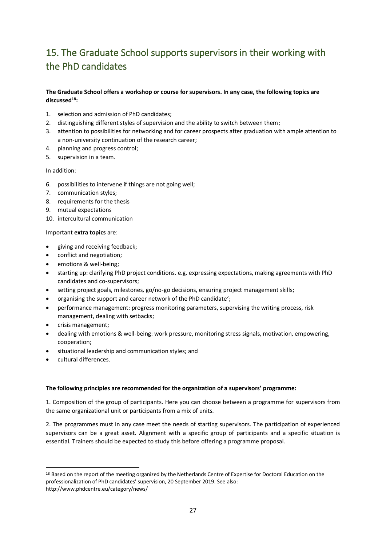# <span id="page-26-0"></span>15. The Graduate School supports supervisors in their working with the PhD candidates

# **The Graduate School offers a workshop or course for supervisors. In any case, the following topics are discussed<sup>18</sup>:**

- 1. selection and admission of PhD candidates;
- 2. distinguishing different styles of supervision and the ability to switch between them;
- 3. attention to possibilities for networking and for career prospects after graduation with ample attention to a non-university continuation of the research career;
- 4. planning and progress control;
- 5. supervision in a team.

In addition:

- 6. possibilities to intervene if things are not going well;
- 7. communication styles;
- 8. requirements for the thesis
- 9. mutual expectations
- 10. intercultural communication

Important **extra topics** are:

- giving and receiving feedback;
- conflict and negotiation;
- emotions & well-being;
- starting up: clarifying PhD project conditions. e.g. expressing expectations, making agreements with PhD candidates and co-supervisors;
- setting project goals, milestones, go/no-go decisions, ensuring project management skills;
- organising the support and career network of the PhD candidate';
- performance management: progress monitoring parameters, supervising the writing process, risk management, dealing with setbacks;
- crisis management;
- dealing with emotions & well-being: work pressure, monitoring stress signals, motivation, empowering, cooperation;
- situational leadership and communication styles; and
- cultural differences.

#### **The following principles are recommended for the organization of a supervisors' programme:**

1. Composition of the group of participants. Here you can choose between a programme for supervisors from the same organizational unit or participants from a mix of units.

2. The programmes must in any case meet the needs of starting supervisors. The participation of experienced supervisors can be a great asset. Alignment with a specific group of participants and a specific situation is essential. Trainers should be expected to study this before offering a programme proposal.

<sup>&</sup>lt;sup>18</sup> Based on the report of the meeting organized by the Netherlands Centre of Expertise for Doctoral Education on the professionalization of PhD candidates' supervision, 20 September 2019. See also: http://www.phdcentre.eu/category/news/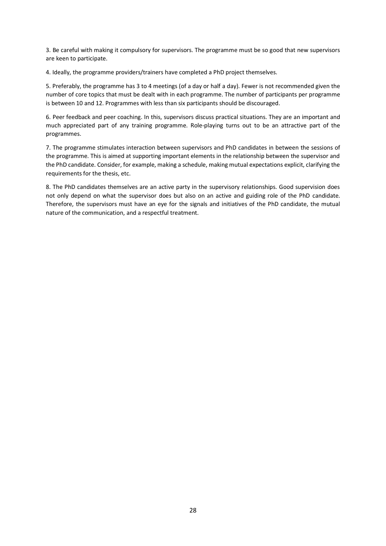3. Be careful with making it compulsory for supervisors. The programme must be so good that new supervisors are keen to participate.

4. Ideally, the programme providers/trainers have completed a PhD project themselves.

5. Preferably, the programme has 3 to 4 meetings (of a day or half a day). Fewer is not recommended given the number of core topics that must be dealt with in each programme. The number of participants per programme is between 10 and 12. Programmes with less than six participants should be discouraged.

6. Peer feedback and peer coaching. In this, supervisors discuss practical situations. They are an important and much appreciated part of any training programme. Role-playing turns out to be an attractive part of the programmes.

7. The programme stimulates interaction between supervisors and PhD candidates in between the sessions of the programme. This is aimed at supporting important elements in the relationship between the supervisor and the PhD candidate. Consider, for example, making a schedule, making mutual expectations explicit, clarifying the requirements for the thesis, etc.

8. The PhD candidates themselves are an active party in the supervisory relationships. Good supervision does not only depend on what the supervisor does but also on an active and guiding role of the PhD candidate. Therefore, the supervisors must have an eye for the signals and initiatives of the PhD candidate, the mutual nature of the communication, and a respectful treatment.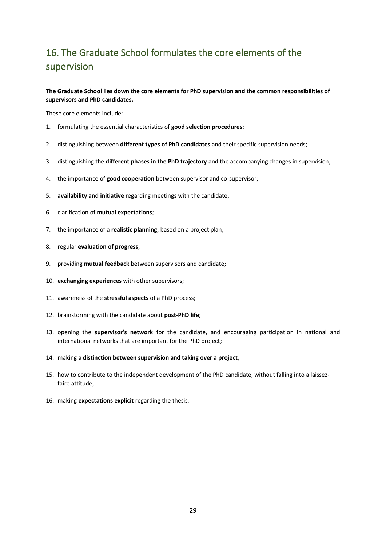# <span id="page-28-0"></span>16. The Graduate School formulates the core elements of the supervision

**The Graduate School lies down the core elements for PhD supervision and the common responsibilities of supervisors and PhD candidates.**

These core elements include:

- 1. formulating the essential characteristics of **good selection procedures**;
- 2. distinguishing between **different types of PhD candidates** and their specific supervision needs;
- 3. distinguishing the **different phases in the PhD trajectory** and the accompanying changes in supervision;
- 4. the importance of **good cooperation** between supervisor and co-supervisor;
- 5. **availability and initiative** regarding meetings with the candidate;
- 6. clarification of **mutual expectations**;
- 7. the importance of a **realistic planning**, based on a project plan;
- 8. regular **evaluation of progress**;
- 9. providing **mutual feedback** between supervisors and candidate;
- 10. **exchanging experiences** with other supervisors;
- 11. awareness of the **stressful aspects** of a PhD process;
- 12. brainstorming with the candidate about **post-PhD life**;
- 13. opening the **supervisor's network** for the candidate, and encouraging participation in national and international networks that are important for the PhD project;
- 14. making a **distinction between supervision and taking over a project**;
- 15. how to contribute to the independent development of the PhD candidate, without falling into a laissezfaire attitude;
- 16. making **expectations explicit** regarding the thesis.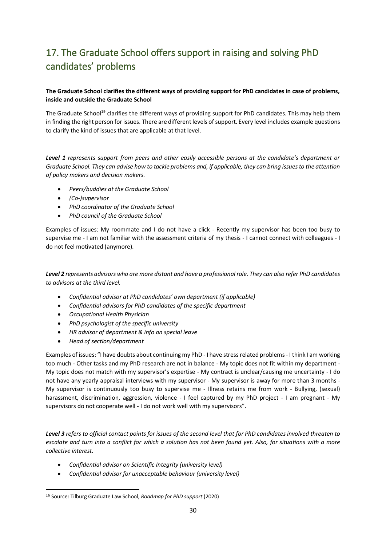# <span id="page-29-0"></span>17. The Graduate School offers support in raising and solving PhD candidates' problems

# **The Graduate School clarifies the different ways of providing support for PhD candidates in case of problems, inside and outside the Graduate School**

The Graduate School<sup>19</sup> clarifies the different ways of providing support for PhD candidates. This may help them in finding the right person for issues. There are different levels of support. Every level includes example questions to clarify the kind of issues that are applicable at that level.

*Level 1 represents support from peers and other easily accessible persons at the candidate's department or Graduate School. They can advise how to tackle problems and, if applicable, they can bring issues to the attention of policy makers and decision makers.*

- *Peers/buddies at the Graduate School*
- *(Co-)supervisor*
- *PhD coordinator of the Graduate School*
- *PhD council of the Graduate School*

Examples of issues: My roommate and I do not have a click - Recently my supervisor has been too busy to supervise me - I am not familiar with the assessment criteria of my thesis - I cannot connect with colleagues - I do not feel motivated (anymore).

*Level 2 represents advisors who are more distant and have a professional role. They can also refer PhD candidates to advisors at the third level.*

- *Confidential advisor at PhD candidates' own department (if applicable)*
- *Confidential advisors for PhD candidates of the specific department*
- *Occupational Health Physician*
- *PhD psychologist of the specific university*
- *HR advisor of department & info on special leave*
- *Head of section/department*

Examples of issues: "I have doubts about continuing my PhD - I have stress related problems - I think I am working too much - Other tasks and my PhD research are not in balance - My topic does not fit within my department - My topic does not match with my supervisor's expertise - My contract is unclear/causing me uncertainty - I do not have any yearly appraisal interviews with my supervisor - My supervisor is away for more than 3 months - My supervisor is continuously too busy to supervise me - Illness retains me from work - Bullying, (sexual) harassment, discrimination, aggression, violence - I feel captured by my PhD project - I am pregnant - My supervisors do not cooperate well - I do not work well with my supervisors".

*Level 3 refers to official contact points for issues of the second level that for PhD candidates involved threaten to escalate and turn into a conflict for which a solution has not been found yet. Also, for situations with a more collective interest.*

- *Confidential advisor on Scientific Integrity (university level)*
- *Confidential advisor for unacceptable behaviour (university level)*

<sup>19</sup> Source: Tilburg Graduate Law School, *Roadmap for PhD support* (2020)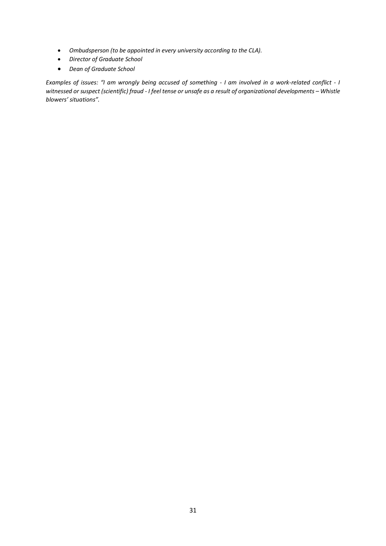- *Ombudsperson (to be appointed in every university according to the CLA).*
- *Director of Graduate School*
- *Dean of Graduate School*

*Examples of issues: "I am wrongly being accused of something - I am involved in a work-related conflict - I witnessed or suspect (scientific) fraud - I feel tense or unsafe as a result of organizational developments – Whistle blowers' situations".*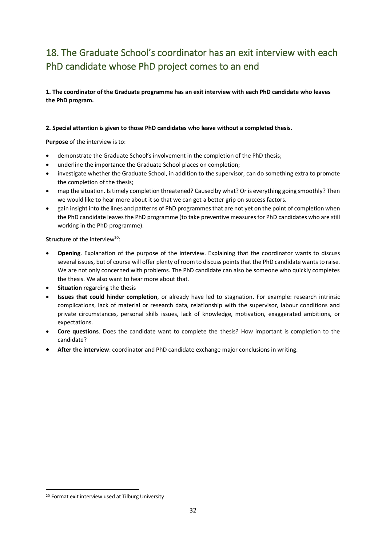# <span id="page-31-0"></span>18. The Graduate School's coordinator has an exit interview with each PhD candidate whose PhD project comes to an end

**1. The coordinator of the Graduate programme has an exit interview with each PhD candidate who leaves the PhD program.** 

### **2. Special attention is given to those PhD candidates who leave without a completed thesis.**

**Purpose** of the interview is to:

- demonstrate the Graduate School's involvement in the completion of the PhD thesis;
- underline the importance the Graduate School places on completion;
- investigate whether the Graduate School, in addition to the supervisor, can do something extra to promote the completion of the thesis;
- map the situation. Is timely completion threatened? Caused by what? Or is everything going smoothly? Then we would like to hear more about it so that we can get a better grip on success factors.
- gain insight into the lines and patterns of PhD programmes that are not yet on the point of completion when the PhD candidate leaves the PhD programme (to take preventive measures for PhD candidates who are still working in the PhD programme).

**Structure** of the interview<sup>20</sup>:

- **Opening**. Explanation of the purpose of the interview. Explaining that the coordinator wants to discuss several issues, but of course will offer plenty of room to discuss points that the PhD candidate wants to raise. We are not only concerned with problems. The PhD candidate can also be someone who quickly completes the thesis. We also want to hear more about that.
- **Situation** regarding the thesis
- **Issues that could hinder completion**, or already have led to stagnation**.** For example: research intrinsic complications, lack of material or research data, relationship with the supervisor, labour conditions and private circumstances, personal skills issues, lack of knowledge, motivation, exaggerated ambitions, or expectations.
- **Core questions**. Does the candidate want to complete the thesis? How important is completion to the candidate?
- **After the interview**: coordinator and PhD candidate exchange major conclusions in writing.

<sup>20</sup> Format exit interview used at Tilburg University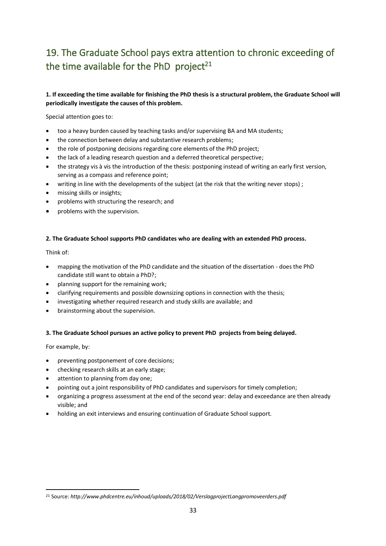# <span id="page-32-0"></span>19. The Graduate School pays extra attention to chronic exceeding of the time available for the PhD project<sup>21</sup>

# **1. If exceeding the time available for finishing the PhD thesis is a structural problem, the Graduate School will periodically investigate the causes of this problem.**

Special attention goes to:

- too a heavy burden caused by teaching tasks and/or supervising BA and MA students;
- the connection between delay and substantive research problems;
- the role of postponing decisions regarding core elements of the PhD project;
- the lack of a leading research question and a deferred theoretical perspective;
- the strategy vis à vis the introduction of the thesis: postponing instead of writing an early first version, serving as a compass and reference point;
- writing in line with the developments of the subject (at the risk that the writing never stops) ;
- missing skills or insights;
- problems with structuring the research; and
- problems with the supervision.

### **2. The Graduate School supports PhD candidates who are dealing with an extended PhD process.**

Think of:

- mapping the motivation of the PhD candidate and the situation of the dissertation does the PhD candidate still want to obtain a PhD?;
- planning support for the remaining work;
- clarifying requirements and possible downsizing options in connection with the thesis;
- investigating whether required research and study skills are available; and
- brainstorming about the supervision.

#### **3. The Graduate School pursues an active policy to prevent PhD projects from being delayed.**

For example, by:

- preventing postponement of core decisions;
- checking research skills at an early stage;
- attention to planning from day one;
- pointing out a joint responsibility of PhD candidates and supervisors for timely completion;
- organizing a progress assessment at the end of the second year: delay and exceedance are then already visible; and
- holding an exit interviews and ensuring continuation of Graduate School support.

<sup>21</sup> Source: *http://www.phdcentre.eu/inhoud/uploads/2018/02/VerslagprojectLangpromoveerders.pdf*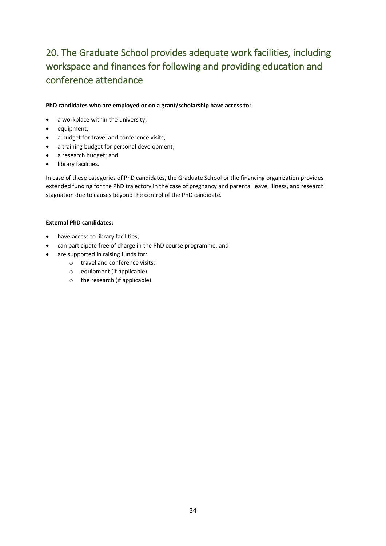# <span id="page-33-0"></span>20. The Graduate School provides adequate work facilities, including workspace and finances for following and providing education and conference attendance

### **PhD candidates who are employed or on a grant/scholarship have access to:**

- a workplace within the university;
- equipment;
- a budget for travel and conference visits;
- a training budget for personal development;
- a research budget; and
- library facilities.

In case of these categories of PhD candidates, the Graduate School or the financing organization provides extended funding for the PhD trajectory in the case of pregnancy and parental leave, illness, and research stagnation due to causes beyond the control of the PhD candidate.

### **External PhD candidates:**

- have access to library facilities;
- can participate free of charge in the PhD course programme; and
- are supported in raising funds for:
	- o travel and conference visits;
	- o equipment (if applicable);
	- o the research (if applicable).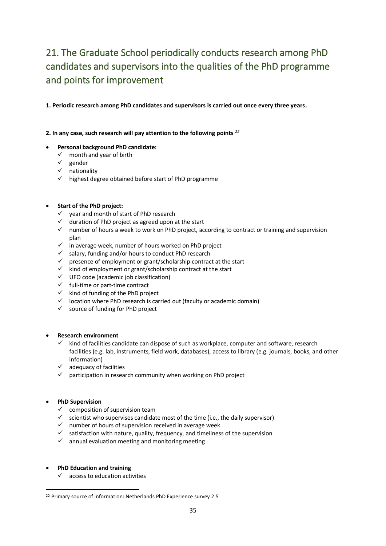# <span id="page-34-0"></span>21. The Graduate School periodically conducts research among PhD candidates and supervisors into the qualities of the PhD programme and points for improvement

**1. Periodic research among PhD candidates and supervisors is carried out once every three years.**

**2. In any case, such research will pay attention to the following points** *<sup>22</sup>*

### • **Personal background PhD candidate:**

- $\checkmark$  month and year of birth
- ✓ gender
- ✓ nationality
- ✓ highest degree obtained before start of PhD programme

# • **Start of the PhD project:**

- ✓ year and month of start of PhD research
- $\checkmark$  duration of PhD project as agreed upon at the start
- $\checkmark$  number of hours a week to work on PhD project, according to contract or training and supervision plan
- ✓ in average week, number of hours worked on PhD project
- ✓ salary, funding and/or hours to conduct PhD research
- ✓ presence of employment or grant/scholarship contract at the start
- ✓ kind of employment or grant/scholarship contract at the start
- ✓ UFO code (academic job classification)
- ✓ full-time or part-time contract
- $\checkmark$  kind of funding of the PhD project
- ✓ location where PhD research is carried out (faculty or academic domain)
- ✓ source of funding for PhD project

#### • **Research environment**

- ✓ kind of facilities candidate can dispose of such as workplace, computer and software, research facilities (e.g. lab, instruments, field work, databases), access to library (e.g. journals, books, and other information)
- $\checkmark$  adequacy of facilities
- $\checkmark$  participation in research community when working on PhD project

# • **PhD Supervision**

- $\checkmark$  composition of supervision team
- ✓ scientist who supervises candidate most of the time (i.e., the daily supervisor)
- ✓ number of hours of supervision received in average week
- $\checkmark$  satisfaction with nature, quality, frequency, and timeliness of the supervision
- $\checkmark$  annual evaluation meeting and monitoring meeting
- **PhD Education and training**
	- $\checkmark$  access to education activities

<sup>22</sup> Primary source of information: Netherlands PhD Experience survey 2.5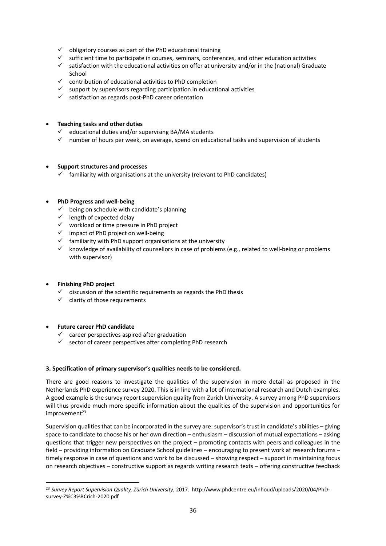- $\checkmark$  obligatory courses as part of the PhD educational training
- ✓ sufficient time to participate in courses, seminars, conferences, and other education activities
- ✓ satisfaction with the educational activities on offer at university and/or in the (national) Graduate School
- $\checkmark$  contribution of educational activities to PhD completion
- $\checkmark$  support by supervisors regarding participation in educational activities
- ✓ satisfaction as regards post-PhD career orientation

### • **Teaching tasks and other duties**

- $\checkmark$  educational duties and/or supervising BA/MA students
- $\checkmark$  number of hours per week, on average, spend on educational tasks and supervision of students

### • **Support structures and processes**

 $\checkmark$  familiarity with organisations at the university (relevant to PhD candidates)

### • **PhD Progress and well-being**

- $\checkmark$  being on schedule with candidate's planning
- ✓ length of expected delay
- ✓ workload or time pressure in PhD project
- $\frac{1}{2}$  impact of PhD project on well-being
- $\checkmark$  familiarity with PhD support organisations at the university
- $\checkmark$  knowledge of availability of counsellors in case of problems (e.g., related to well-being or problems with supervisor)

# • **Finishing PhD project**

- $\checkmark$  discussion of the scientific requirements as regards the PhD thesis
- $\checkmark$  clarity of those requirements

#### • **Future career PhD candidate**

- $\checkmark$  career perspectives aspired after graduation
- $\checkmark$  sector of career perspectives after completing PhD research

#### **3. Specification of primary supervisor's qualities needs to be considered.**

There are good reasons to investigate the qualities of the supervision in more detail as proposed in the Netherlands PhD experience survey 2020. This is in line with a lot of international research and Dutch examples. A good example is the survey report supervision quality from Zurich University. A survey among PhD supervisors will thus provide much more specific information about the qualities of the supervision and opportunities for improvement<sup>23</sup>.

Supervision qualities that can be incorporated in the survey are: supervisor's trust in candidate's abilities – giving space to candidate to choose his or her own direction – enthusiasm – discussion of mutual expectations – asking questions that trigger new perspectives on the project – promoting contacts with peers and colleagues in the field – providing information on Graduate School guidelines – encouraging to present work at research forums – timely response in case of questions and work to be discussed – showing respect – support in maintaining focus on research objectives – constructive support as regards writing research texts – offering constructive feedback

<sup>23</sup> *Survey Report Supervision Quality, Zürich University*, 2017. http://www.phdcentre.eu/inhoud/uploads/2020/04/PhDsurvey-Z%C3%BCrich-2020.pdf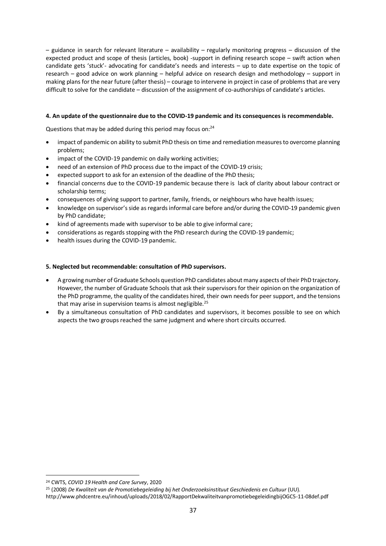– guidance in search for relevant literature – availability – regularly monitoring progress – discussion of the expected product and scope of thesis (articles, book) -support in defining research scope – swift action when candidate gets 'stuck'- advocating for candidate's needs and interests – up to date expertise on the topic of research – good advice on work planning – helpful advice on research design and methodology – support in making plans for the near future (after thesis) – courage to intervene in project in case of problems that are very difficult to solve for the candidate – discussion of the assignment of co-authorships of candidate's articles.

### **4. An update of the questionnaire due to the COVID-19 pandemic and its consequences is recommendable.**

Questions that may be added during this period may focus on:<sup>24</sup>

- impact of pandemic on ability to submit PhD thesis on time and remediation measures to overcome planning problems;
- impact of the COVID-19 pandemic on daily working activities:
- need of an extension of PhD process due to the impact of the COVID-19 crisis;
- expected support to ask for an extension of the deadline of the PhD thesis:
- financial concerns due to the COVID-19 pandemic because there is lack of clarity about labour contract or scholarship terms;
- consequences of giving support to partner, family, friends, or neighbours who have health issues;
- knowledge on supervisor's side as regards informal care before and/or during the COVID-19 pandemic given by PhD candidate;
- kind of agreements made with supervisor to be able to give informal care;
- considerations as regards stopping with the PhD research during the COVID-19 pandemic;
- health issues during the COVID-19 pandemic.

### **5. Neglected but recommendable: consultation of PhD supervisors.**

- A growing number of Graduate Schools question PhD candidates about many aspects of their PhD trajectory. However, the number of Graduate Schools that ask their supervisors for their opinion on the organization of the PhD programme, the quality of the candidates hired, their own needs for peer support, and the tensions that may arise in supervision teams is almost negligible.<sup>25</sup>
- By a simultaneous consultation of PhD candidates and supervisors, it becomes possible to see on which aspects the two groups reached the same judgment and where short circuits occurred.

<sup>24</sup> CWTS, *COVID 19 Health and Care Survey*, 2020

<sup>25</sup> (2008) *De Kwaliteit van de Promotiebegeleiding bij het Onderzoeksinstituut Geschiedenis en Cultuur* (UU).

http://www.phdcentre.eu/inhoud/uploads/2018/02/RapportDekwaliteitvanpromotiebegeleidingbijOGC5-11-08def.pdf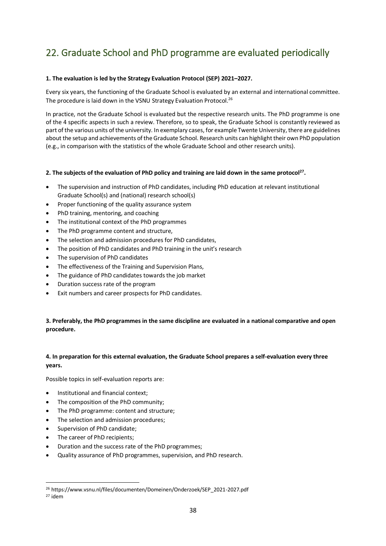# <span id="page-37-0"></span>22. Graduate School and PhD programme are evaluated periodically

### **1. The evaluation is led by the Strategy Evaluation Protocol (SEP) 2021–2027.**

Every six years, the functioning of the Graduate School is evaluated by an external and international committee. The procedure is laid down in the VSNU Strategy Evaluation Protocol.<sup>26</sup>

In practice, not the Graduate School is evaluated but the respective research units. The PhD programme is one of the 4 specific aspects in such a review. Therefore, so to speak, the Graduate School is constantly reviewed as part of the various units of the university. In exemplary cases, for example Twente University, there are guidelines about the setup and achievements of the Graduate School. Research units can highlight their own PhD population (e.g., in comparison with the statistics of the whole Graduate School and other research units).

### **2. The subjects of the evaluation of PhD policy and training are laid down in the same protocol<sup>27</sup> .**

- The supervision and instruction of PhD candidates, including PhD education at relevant institutional Graduate School(s) and (national) research school(s)
- Proper functioning of the quality assurance system
- PhD training, mentoring, and coaching
- The institutional context of the PhD programmes
- The PhD programme content and structure,
- The selection and admission procedures for PhD candidates,
- The position of PhD candidates and PhD training in the unit's research
- The supervision of PhD candidates
- The effectiveness of the Training and Supervision Plans,
- The guidance of PhD candidates towards the job market
- Duration success rate of the program
- Exit numbers and career prospects for PhD candidates.

# **3. Preferably, the PhD programmes in the same discipline are evaluated in a national comparative and open procedure.**

# **4. In preparation for this external evaluation, the Graduate School prepares a self-evaluation every three years.**

Possible topics in self-evaluation reports are:

- Institutional and financial context;
- The composition of the PhD community:
- The PhD programme: content and structure;
- The selection and admission procedures;
- Supervision of PhD candidate;
- The career of PhD recipients;
- Duration and the success rate of the PhD programmes;
- Quality assurance of PhD programmes, supervision, and PhD research.

<sup>26</sup> https://www.vsnu.nl/files/documenten/Domeinen/Onderzoek/SEP\_2021-2027.pdf

<sup>27</sup> idem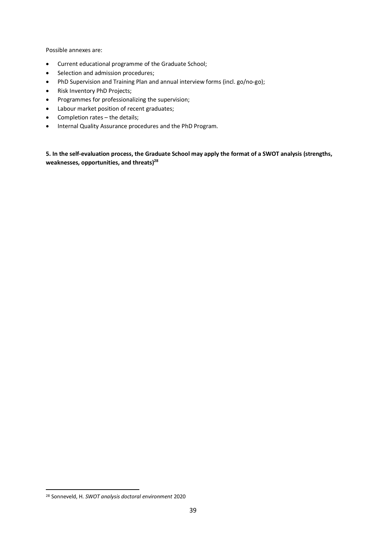Possible annexes are:

- Current educational programme of the Graduate School;
- Selection and admission procedures;
- PhD Supervision and Training Plan and annual interview forms (incl. go/no-go);
- Risk Inventory PhD Projects;
- Programmes for professionalizing the supervision;
- Labour market position of recent graduates;
- Completion rates the details;
- Internal Quality Assurance procedures and the PhD Program.

**5. In the self-evaluation process, the Graduate School may apply the format of a SWOT analysis (strengths, weaknesses, opportunities, and threats)<sup>28</sup>**

<sup>28</sup> Sonneveld, H. *SWOT analysis doctoral environment* 2020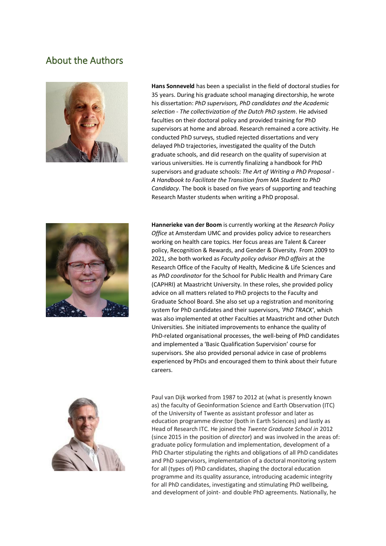# <span id="page-39-0"></span>About the Authors



**Hans Sonneveld** has been a specialist in the field of doctoral studies for 35 years. During his graduate school managing directorship, he wrote his dissertation: *PhD supervisors, PhD candidates and the Academic selection - The collectivization of the Dutch PhD system*. He advised faculties on their doctoral policy and provided training for PhD supervisors at home and abroad. Research remained a core activity. He conducted PhD surveys, studied rejected dissertations and very delayed PhD trajectories, investigated the quality of the Dutch graduate schools, and did research on the quality of supervision at various universities. He is currently finalizing a handbook for PhD supervisors and graduate schools: *The Art of Writing a PhD Proposal - A Handbook to Facilitate the Transition from MA Student to PhD Candidacy*. The book is based on five years of supporting and teaching Research Master students when writing a PhD proposal.



**Hannerieke van der Boom** is currently working at the *Research Policy Office* at Amsterdam UMC and provides policy advice to researchers working on health care topics. Her focus areas are Talent & Career policy, Recognition & Rewards, and Gender & Diversity. From 2009 to 2021, she both worked as *Faculty policy advisor PhD affairs* at the Research Office of the Faculty of Health, Medicine & Life Sciences and as *PhD coordinator* for the School for Public Health and Primary Care (CAPHRI) at Maastricht University. In these roles, she provided policy advice on all matters related to PhD projects to the Faculty and Graduate School Board. She also set up a registration and monitoring system for PhD candidates and their supervisors, *'PhD TRACK'*, which was also implemented at other Faculties at Maastricht and other Dutch Universities. She initiated improvements to enhance the quality of PhD-related organisational processes, the well-being of PhD candidates and implemented a 'Basic Qualification Supervision' course for supervisors. She also provided personal advice in case of problems experienced by PhDs and encouraged them to think about their future careers.



Paul van Dijk worked from 1987 to 2012 at (what is presently known as) the faculty of Geoinformation Science and Earth Observation (ITC) of the University of Twente as assistant professor and later as education programme director (both in Earth Sciences) and lastly as Head of Research ITC. He joined the *Twente Graduate School in* 2012 (since 2015 in the position of *director*) and was involved in the areas of: graduate policy formulation and implementation, development of a PhD Charter stipulating the rights and obligations of all PhD candidates and PhD supervisors, implementation of a doctoral monitoring system for all (types of) PhD candidates, shaping the doctoral education programme and its quality assurance, introducing academic integrity for all PhD candidates, investigating and stimulating PhD wellbeing, and development of joint- and double PhD agreements. Nationally, he